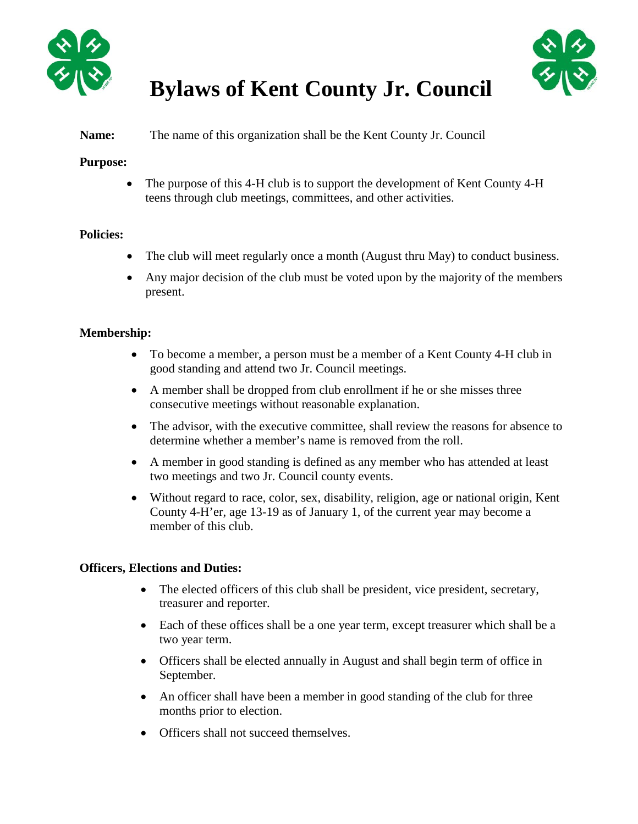



# **Bylaws of Kent County Jr. Council**

## **Name:** The name of this organization shall be the Kent County Jr. Council

## **Purpose:**

• The purpose of this 4-H club is to support the development of Kent County 4-H teens through club meetings, committees, and other activities.

# **Policies:**

- The club will meet regularly once a month (August thru May) to conduct business.
- Any major decision of the club must be voted upon by the majority of the members present.

## **Membership:**

- To become a member, a person must be a member of a Kent County 4-H club in good standing and attend two Jr. Council meetings.
- A member shall be dropped from club enrollment if he or she misses three consecutive meetings without reasonable explanation.
- The advisor, with the executive committee, shall review the reasons for absence to determine whether a member's name is removed from the roll.
- A member in good standing is defined as any member who has attended at least two meetings and two Jr. Council county events.
- Without regard to race, color, sex, disability, religion, age or national origin, Kent County 4-H'er, age 13-19 as of January 1, of the current year may become a member of this club.

# **Officers, Elections and Duties:**

- The elected officers of this club shall be president, vice president, secretary, treasurer and reporter.
- Each of these offices shall be a one year term, except treasurer which shall be a two year term.
- Officers shall be elected annually in August and shall begin term of office in September.
- An officer shall have been a member in good standing of the club for three months prior to election.
- Officers shall not succeed themselves.